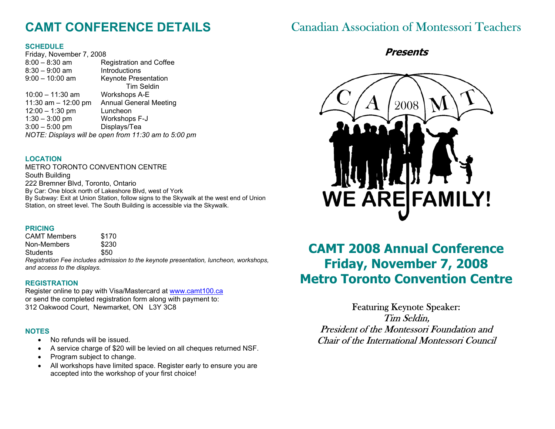# **CAMT CONFERENCE DETAILS**

### **SCHEDULE**

| Friday, November 7, 2008                             |                                |
|------------------------------------------------------|--------------------------------|
| $8:00 - 8:30$ am                                     | <b>Registration and Coffee</b> |
| $8:30 - 9:00$ am                                     | Introductions                  |
| $9:00 - 10:00$ am                                    | <b>Keynote Presentation</b>    |
|                                                      | <b>Tim Seldin</b>              |
| $10:00 - 11:30$ am                                   | <b>Workshops A-E</b>           |
| 11:30 am $-$ 12:00 pm                                | <b>Annual General Meeting</b>  |
| $12:00 - 1:30$ pm                                    | Luncheon                       |
| $1:30 - 3:00$ pm                                     | Workshops F-J                  |
| $3:00 - 5:00$ pm                                     | Displays/Tea                   |
| NOTE: Displays will be open from 11:30 am to 5:00 pm |                                |
|                                                      |                                |

### **LOCATION**

METRO TORONTO CONVENTION CENTRE South Building 222 Bremner Blvd, Toronto, Ontario By Car: One block north of Lakeshore Blvd, west of York By Subway: Exit at Union Station, follow signs to the Skywalk at the west end of Union Station, on street level. The South Building is accessible via the Skywalk.

### **PRICING**

CAMT Members \$170 Non-Members \$230 Students \$50

*Registration Fee includes admission to the keynote presentation, luncheon, workshops, and access to the displays.* 

### **REGISTRATION**

Register online to pay with Visa/Mastercard at www.camt100.ca or send the completed registration form along with payment to: 312 Oakwood Court, Newmarket, ON L3Y 3C8

## **NOTES**

- No refunds will be issued.
- A service charge of \$20 will be levied on all cheques returned NSF.
- Program subject to change.
- All workshops have limited space. Register early to ensure you are accepted into the workshop of your first choice!

# Canadian Association of Montessori Teachers

# **Presents**



# **CAMT 2008 Annual Conference Friday, November 7, 2008 Metro Toronto Convention Centre**

Featuring Keynote Speaker: Tim Seldin, President of the Montessori Foundation and Chair of the International Montessori Council